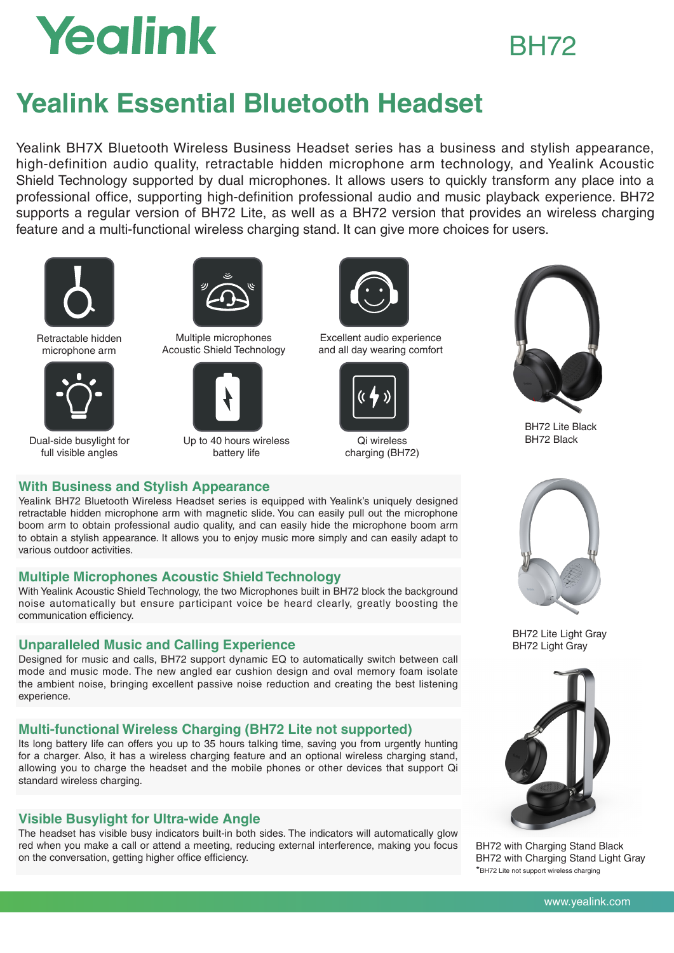# Yealink

## BH72

## **Yealink Essential Bluetooth Headset**

Yealink BH7X Bluetooth Wireless Business Headset series has a business and stylish appearance, high-definition audio quality, retractable hidden microphone arm technology, and Yealink Acoustic Shield Technology supported by dual microphones. It allows users to quickly transform any place into a professional office, supporting high-definition professional audio and music playback experience. BH72 supports a regular version of BH72 Lite, as well as a BH72 version that provides an wireless charging feature and a multi-functional wireless charging stand. It can give more choices for users.



Retractable hidden microphone arm



Dual-side busylight for full visible angles



Multiple microphones Acoustic Shield Technology



Up to 40 hours wireless battery life



Excellent audio experience and all day wearing comfort



Qi wireless charging (BH72)



BH72 Lite Black BH72 Black



BH72 Lite Light Gray BH72 Light Gray



BH72 with Charging Stand Black BH72 with Charging Stand Light Gray \*BH72 Lite not support wireless charging

### **With Business and Stylish Appearance**

Yealink BH72 Bluetooth Wireless Headset series is equipped with Yealink's uniquely designed retractable hidden microphone arm with magnetic slide. You can easily pull out the microphone boom arm to obtain professional audio quality, and can easily hide the microphone boom arm to obtain a stylish appearance. It allows you to enjoy music more simply and can easily adapt to various outdoor activities.

### **Multiple Microphones Acoustic Shield Technology**

With Yealink Acoustic Shield Technology, the two Microphones built in BH72 block the background noise automatically but ensure participant voice be heard clearly, greatly boosting the communication efficiency.

### **Unparalleled Music and Calling Experience**

Designed for music and calls, BH72 support dynamic EQ to automatically switch between call mode and music mode. The new angled ear cushion design and oval memory foam isolate the ambient noise, bringing excellent passive noise reduction and creating the best listening experience.

### **Multi-functional Wireless Charging (BH72 Lite not supported)**

Its long battery life can offers you up to 35 hours talking time, saving you from urgently hunting for a charger. Also, it has a wireless charging feature and an optional wireless charging stand, allowing you to charge the headset and the mobile phones or other devices that support Qi standard wireless charging.

### **Visible Busylight for Ultra-wide Angle**

The headset has visible busy indicators built-in both sides. The indicators will automatically glow red when you make a call or attend a meeting, reducing external interference, making you focus on the conversation, getting higher office efficiency.